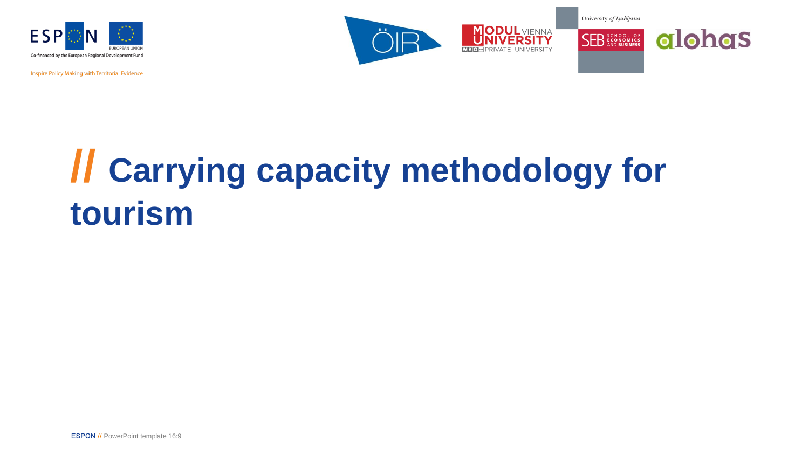

Inspire Policy Making with Territorial Evidence





# **// Carrying capacity methodology for tourism**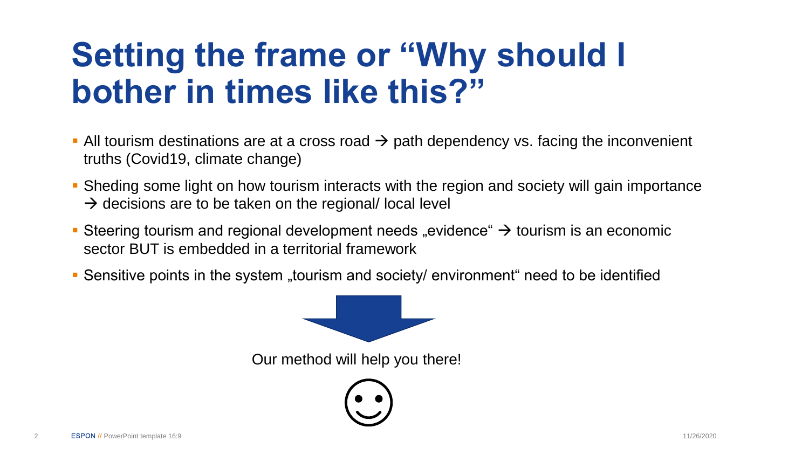## **Setting the frame or "Why should I bother in times like this?"**

- **•** All tourism destinations are at a cross road  $\rightarrow$  path dependency vs. facing the inconvenient truths (Covid19, climate change)
- **Sheding some light on how tourism interacts with the region and society will gain importance**  $\rightarrow$  decisions are to be taken on the regional/ local level
- Steering tourism and regional development needs "evidence"  $\rightarrow$  tourism is an economic sector BUT is embedded in a territorial framework
- Sensitive points in the system "tourism and society/ environment" need to be identified

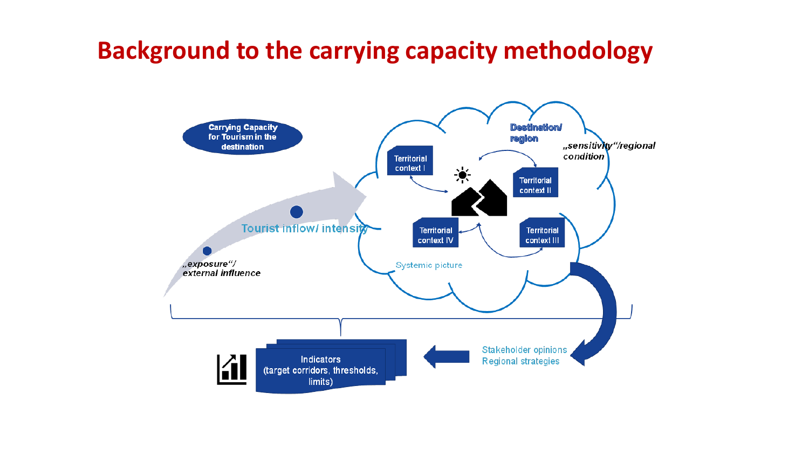#### **Background to the carrying capacity methodology**

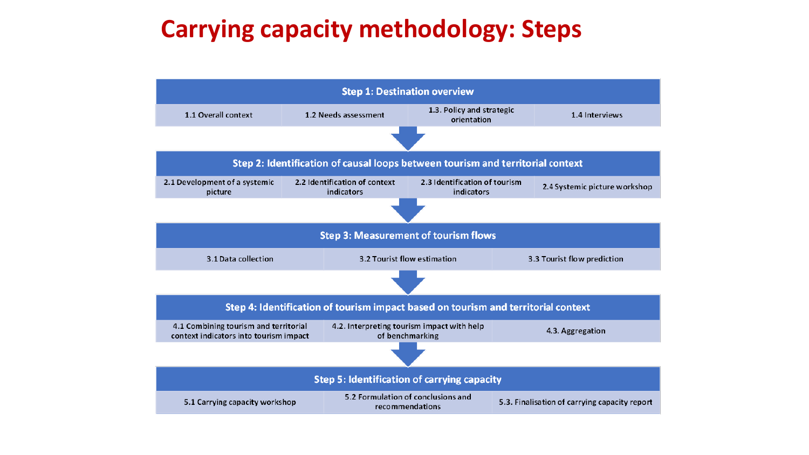### **Carrying capacity methodology: Steps**

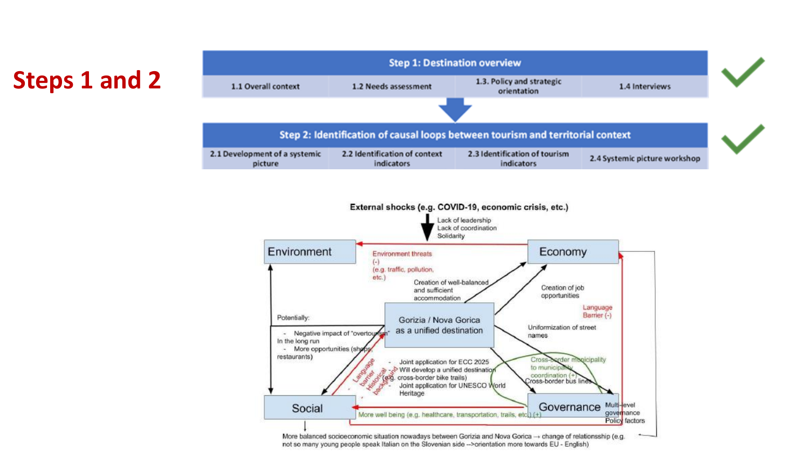### **Steps 1 and 2**



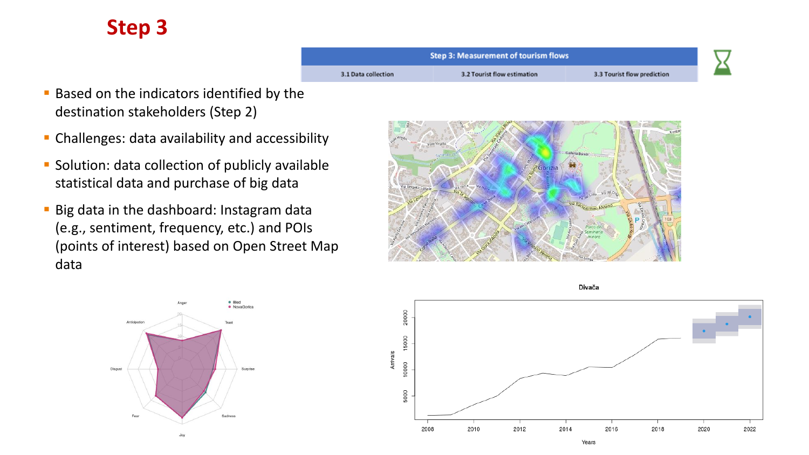#### **Step 3**



- **Based on the indicators identified by the** destination stakeholders (Step 2)
- **EXTENDING Challenges: data availability and accessibility**
- **Solution: data collection of publicly available** statistical data and purchase of big data
- **Big data in the dashboard: Instagram data** (e.g., sentiment, frequency, etc.) and POIs (points of interest) based on Open Street Map data



Divača



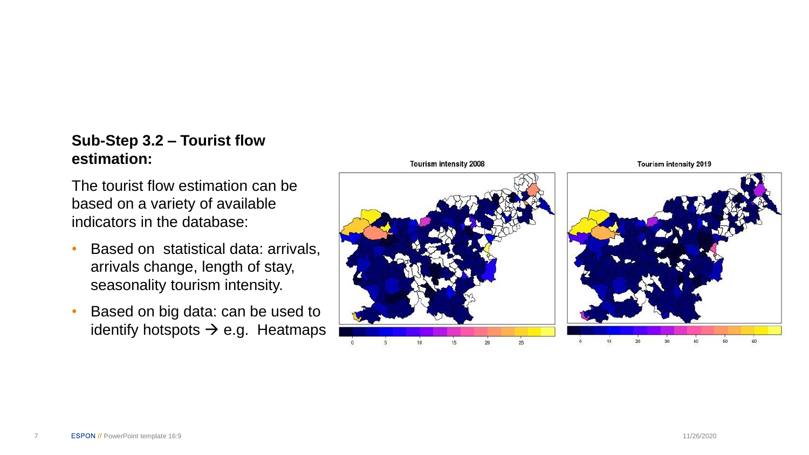#### **Sub -Step 3.2 – Tourist flow estimation:**

The tourist flow estimation can be based on a variety of available indicators in the database:

- Based on statistical data: arrivals, arrivals change, length of stay, seasonality tourism intensity.
- Based on big data: can be used to identify hotspots  $\rightarrow$  e.g. Heatmaps

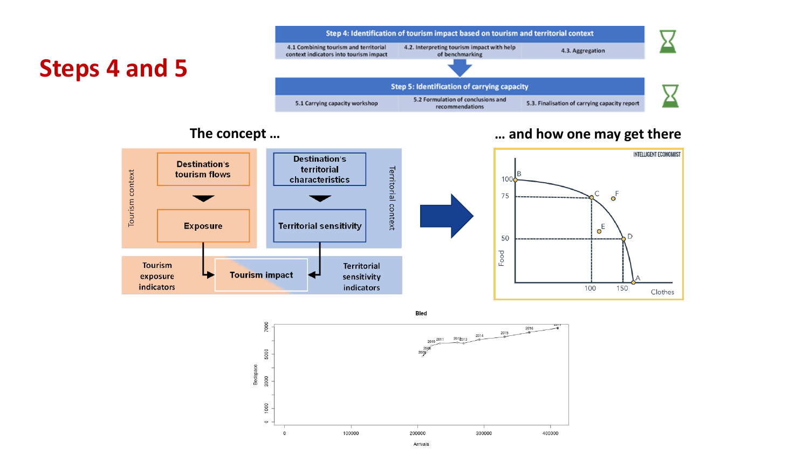#### **Steps 4 and 5**



#### **The concept … … and how one may get there**



**Bled**